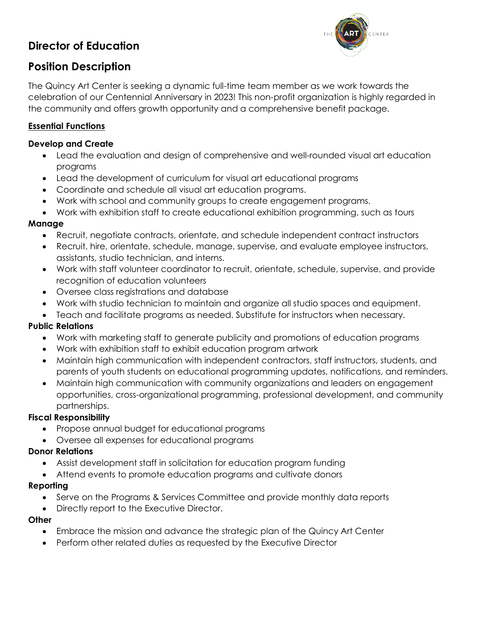# **Director of Education**



## **Position Description**

The Quincy Art Center is seeking a dynamic full-time team member as we work towards the celebration of our Centennial Anniversary in 2023! This non-profit organization is highly regarded in the community and offers growth opportunity and a comprehensive benefit package.

## **Essential Functions**

#### **Develop and Create**

- Lead the evaluation and design of comprehensive and well-rounded visual art education programs
- Lead the development of curriculum for visual art educational programs
- Coordinate and schedule all visual art education programs.
- Work with school and community groups to create engagement programs.
- Work with exhibition staff to create educational exhibition programming, such as tours

#### **Manage**

- Recruit, negotiate contracts, orientate, and schedule independent contract instructors
- Recruit, hire, orientate, schedule, manage, supervise, and evaluate employee instructors, assistants, studio technician, and interns.
- Work with staff volunteer coordinator to recruit, orientate, schedule, supervise, and provide recognition of education volunteers
- Oversee class registrations and database
- Work with studio technician to maintain and organize all studio spaces and equipment.
- Teach and facilitate programs as needed. Substitute for instructors when necessary.

## **Public Relations**

- Work with marketing staff to generate publicity and promotions of education programs
- Work with exhibition staff to exhibit education program artwork
- Maintain high communication with independent contractors, staff instructors, students, and parents of youth students on educational programming updates, notifications, and reminders.
- Maintain high communication with community organizations and leaders on engagement opportunities, cross-organizational programming, professional development, and community partnerships.

#### **Fiscal Responsibility**

- Propose annual budget for educational programs
- Oversee all expenses for educational programs

#### **Donor Relations**

- Assist development staff in solicitation for education program funding
- Attend events to promote education programs and cultivate donors

#### **Reporting**

- Serve on the Programs & Services Committee and provide monthly data reports
- Directly report to the Executive Director.

#### **Other**

- Embrace the mission and advance the strategic plan of the Quincy Art Center
- Perform other related duties as requested by the Executive Director